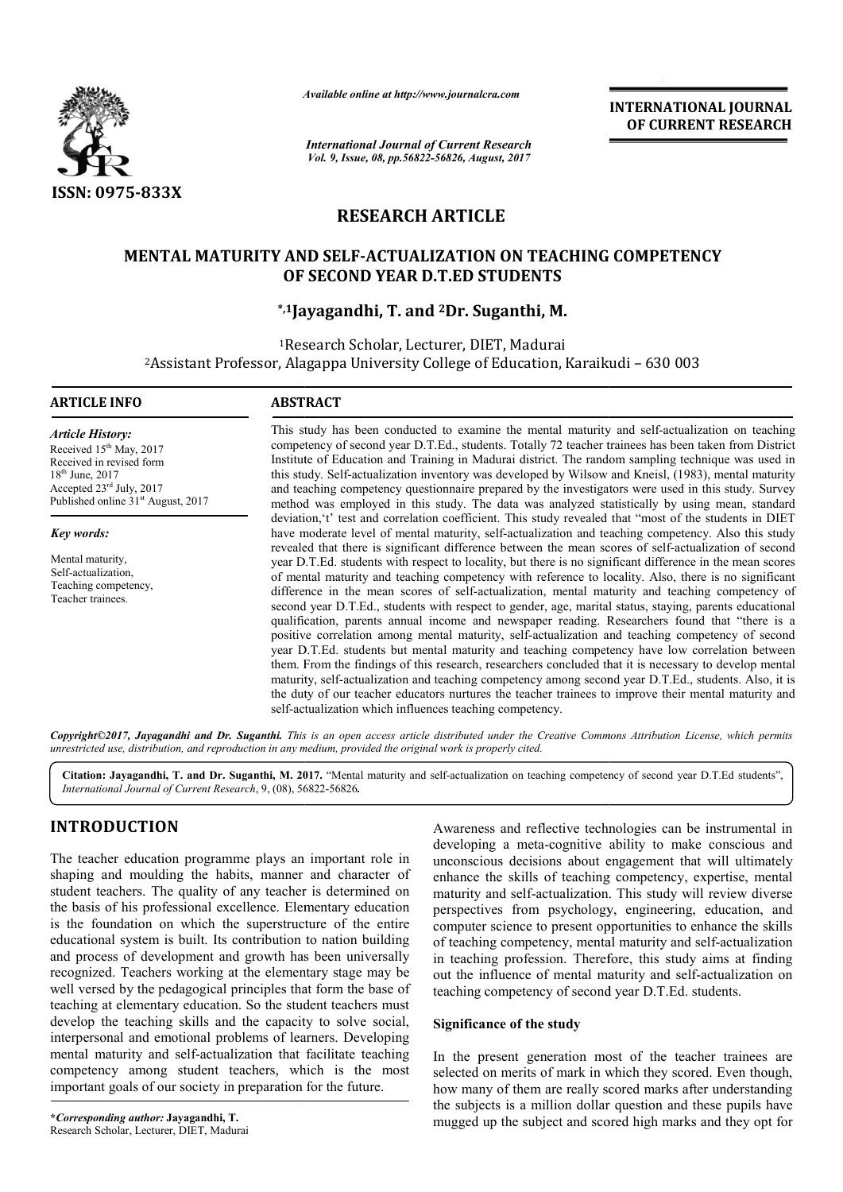

*Available online at http://www.journal http://www.journalcra.com*

*International Journal of Current Research Vol. 9, Issue, 08, pp.56822-56826, August, 2017*

**INTERNATIONAL JOURNAL OF CURRENT RESEARCH** 

# **RESEARCH ARTICLE**

## **MENTAL MATURITY AND SELF SELF-ACTUALIZATION ON TEACHING COMPETENCY ACTUALIZATION OF SECOND YEAR D.T.ED STUDENTS**

## **\*,1Jayagandhi Jayagandhi, T. and 2Dr. Suganthi, M.**

1Research Scholar, Lecturer, DIET, Madurai 2Assistant Professor, Alagappa University College of Education, Research Assistant Karaikudi – 630 003

### **ARTICLE INFO ABSTRACT**

*Article History:* Received 15<sup>th</sup> May, 2017 Received in revised form 18th June, 2017 Accepted 23rd July, 2017 Published online 31<sup>st</sup> August, 2017

*Key words:*

Mental maturity, Self-actualization, Teaching competency, Teacher trainees.

This study has been conducted to examine the mental maturity and self-actualization on teaching competency of second year D.T.Ed., students. Totally 72 teacher trainees has been taken from District Institute of Education and Training in Madurai district. The random sampling technique was used in competency of second year D.T.Ed., students. Totally 72 teacher trainees has been taken from District Institute of Education and Training in Madurai district. The random sampling technique was used in this study. Self-actu and teaching competency questionnaire prepared by the investigators were used in this study. Survey method was employed in this study. The data was analyzed statistically by using mean, standard deviation,'t' test and correlation coefficient. This study revealed that "most of the students in DIET have moderate level of mental maturity, self-actualization and teaching competency. Also this study revealed that there is significant difference between the mean scores of self-actualization of second year D.T.Ed. students with respect to locality, but there is no significant difference in the mean scores of mental maturity and teaching competency with reference to locality. Also, there is no significant difference in the mean scores of self-actualization, mental maturity and teaching competency of second year D D.T.Ed., students with respect to gender, age, marital status, staying, parents educational qualification, parents annual income and newspaper reading. Researchers found that "there is a positive correlation among mental maturity, self-actualization and teaching competency of second year D.T.Ed. students but mental maturity and teaching competency have low correlation between them. From the findings of this research, researchers concluded that it maturity, self self-actualization and teaching competency among second year D.T.Ed., students. Also, it is maturity, self-actualization and teaching competency among second year D.T.Ed., students. Also, it is the duty of our teacher educators nurtures the teacher trainees to improve their mental maturity and self-actualization which influences teaching competency. and teaching competency questionnaire prepared by the investigators were used in this study. Survey method was employed in this study. The data was analyzed statistically by using mean, standard deviation, 't' test and cor year D.T.Ed. students with respect to locality, but there is no significant difference in the mean scores of self-actualization, mental maturity and teaching competency of second year D.T.Ed., students with respect to gend **INTERNATIONAL JOURNAL FROM COMPLEMENT (CONFERENT RESEARCH OF CURRENT RESEARCH OF CURRENT RESEARCH OF CURRENT RESEARCH (6.4 agent, 2027)<br>
TICLE TION ON TEACHING COMPETENCY (FOR THE SEARCH THE SEARCH THE SUBJECTS COMPETENC** 

Copyright©2017, Jayagandhi and Dr. Suganthi. This is an open access article distributed under the Creative Commons Attribution License, which permits *unrestricted use, distribution, and reproduction in any medium, provided the original work is properly cited.*

Citation: Jayagandhi, T. and Dr. Suganthi, M. 2017. "Mental maturity and self-actualization on teaching competency of second year D.T.Ed students", *International Journal of Current Research*, 9, (08), 56 56822-56826*.*

# **INTRODUCTION**

The teacher education programme plays an important role in shaping and moulding the habits, manner and character of student teachers. The quality of any teacher is determined on the basis of his professional excellence. Elementary education is the foundation on which the superstructure of the entire educational system is built. Its contribution to nation building and process of development and growth has been universally recognized. Teachers working at the elementary stage may be well versed by the pedagogical principles that form the base of teaching at elementary education. So the student teachers must develop the teaching skills and the capacity to solve social, interpersonal and emotional problems of learners. Developing mental maturity and self-actualization that facilitate teaching mental maturity and self-actualization that facilitate teaching<br>competency among student teachers, which is the most important goals of our society in preparation for the future. ontribution to no<br>l growth has been<br>the elementary<br>rinciples that for<br>. So the student

Awareness and reflective technologies can be instrumental in developing a meta-cognitive ability to make conscious and unconscious decisions about engagement that will ultimately enhance the skills of teaching competency, expertise, mental maturity and self-actualization. This study will review diverse perspectives from psychology, engineering, education, and computer science to present opportunities to enhance the skills of teaching competency, mental maturity and self in teaching profession. Therefore, this study aims at finding in teaching profession. Therefore, this study aims at finding<br>out the influence of mental maturity and self-actualization on teaching competency of second year D.T.Ed. students. vareness and reflective technologies can be instrumental in veloping a meta-cognitive ability to make conscious and conscious decisions about engagement that will ultimately hance the skills of teaching competency, experti

## **Significance of the study**

In the present generation most of the teacher trainees are selected on merits of mark in which they scored. Even though, how many of them are really scored marks after understanding the subjects is a million dollar question and these pupils have mugged up the subject and scored high marks and they opt for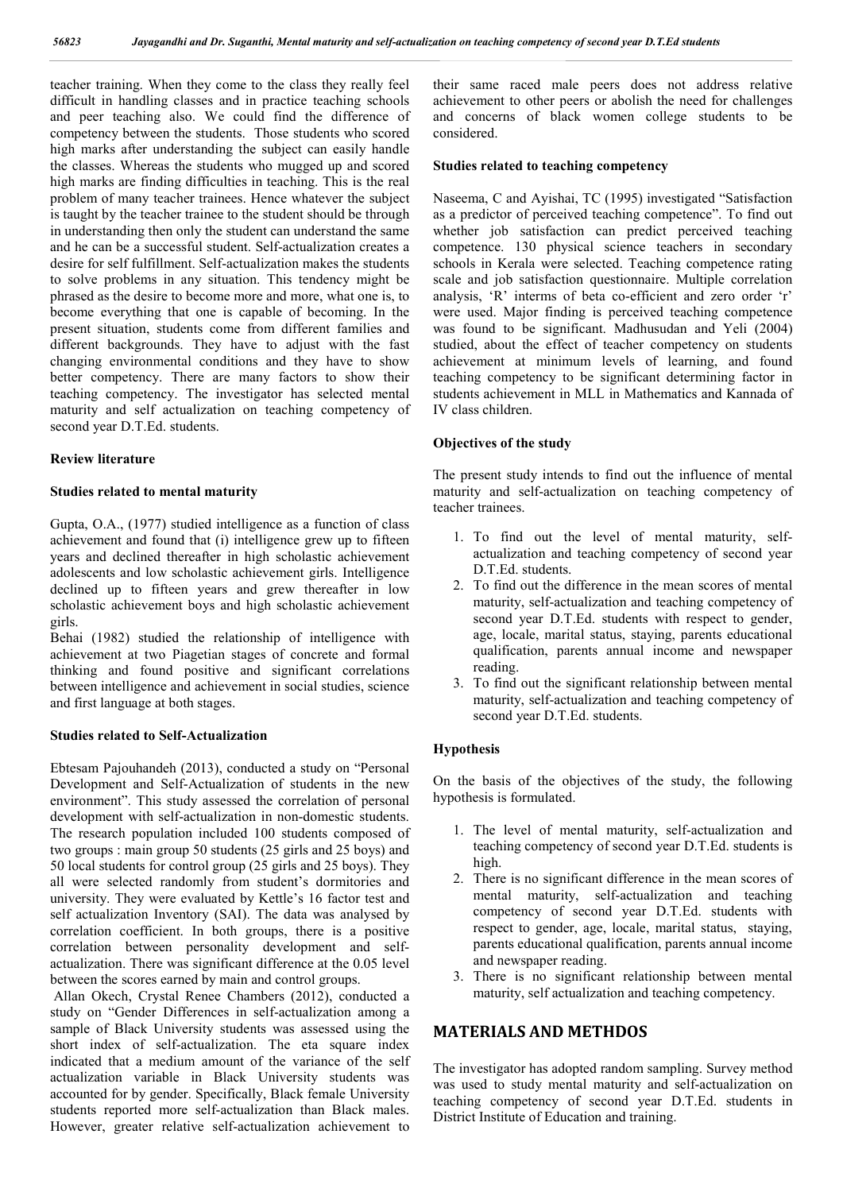teacher training. When they come to the class they really feel difficult in handling classes and in practice teaching schools and peer teaching also. We could find the difference of competency between the students. Those students who scored high marks after understanding the subject can easily handle the classes. Whereas the students who mugged up and scored high marks are finding difficulties in teaching. This is the real problem of many teacher trainees. Hence whatever the subject is taught by the teacher trainee to the student should be through in understanding then only the student can understand the same and he can be a successful student. Self-actualization creates a desire for self fulfillment. Self-actualization makes the students to solve problems in any situation. This tendency might be phrased as the desire to become more and more, what one is, to become everything that one is capable of becoming. In the present situation, students come from different families and different backgrounds. They have to adjust with the fast changing environmental conditions and they have to show better competency. There are many factors to show their teaching competency. The investigator has selected mental maturity and self actualization on teaching competency of second year D.T.Ed. students.

## **Review literature**

## **Studies related to mental maturity**

Gupta, O.A., (1977) studied intelligence as a function of class achievement and found that (i) intelligence grew up to fifteen years and declined thereafter in high scholastic achievement adolescents and low scholastic achievement girls. Intelligence declined up to fifteen years and grew thereafter in low scholastic achievement boys and high scholastic achievement girls.

Behai (1982) studied the relationship of intelligence with achievement at two Piagetian stages of concrete and formal thinking and found positive and significant correlations between intelligence and achievement in social studies, science and first language at both stages.

## **Studies related to Self-Actualization**

Ebtesam Pajouhandeh (2013), conducted a study on "Personal Development and Self-Actualization of students in the new environment". This study assessed the correlation of personal development with self-actualization in non-domestic students. The research population included 100 students composed of two groups : main group 50 students (25 girls and 25 boys) and 50 local students for control group (25 girls and 25 boys). They all were selected randomly from student's dormitories and university. They were evaluated by Kettle's 16 factor test and self actualization Inventory (SAI). The data was analysed by correlation coefficient. In both groups, there is a positive correlation between personality development and selfactualization. There was significant difference at the 0.05 level between the scores earned by main and control groups.

Allan Okech, Crystal Renee Chambers (2012), conducted a study on "Gender Differences in self-actualization among a sample of Black University students was assessed using the short index of self-actualization. The eta square index indicated that a medium amount of the variance of the self actualization variable in Black University students was accounted for by gender. Specifically, Black female University students reported more self-actualization than Black males. However, greater relative self-actualization achievement to

their same raced male peers does not address relative achievement to other peers or abolish the need for challenges and concerns of black women college students to be considered.

## **Studies related to teaching competency**

Naseema, C and Ayishai, TC (1995) investigated "Satisfaction as a predictor of perceived teaching competence". To find out whether job satisfaction can predict perceived teaching competence. 130 physical science teachers in secondary schools in Kerala were selected. Teaching competence rating scale and job satisfaction questionnaire. Multiple correlation analysis, 'R' interms of beta co-efficient and zero order 'r' were used. Major finding is perceived teaching competence was found to be significant. Madhusudan and Yeli (2004) studied, about the effect of teacher competency on students achievement at minimum levels of learning, and found teaching competency to be significant determining factor in students achievement in MLL in Mathematics and Kannada of IV class children.

## **Objectives of the study**

The present study intends to find out the influence of mental maturity and self-actualization on teaching competency of teacher trainees.

- 1. To find out the level of mental maturity, selfactualization and teaching competency of second year D.T.Ed. students.
- 2. To find out the difference in the mean scores of mental maturity, self-actualization and teaching competency of second year D.T.Ed. students with respect to gender, age, locale, marital status, staying, parents educational qualification, parents annual income and newspaper reading.
- 3. To find out the significant relationship between mental maturity, self-actualization and teaching competency of second year D.T.Ed. students.

## **Hypothesis**

On the basis of the objectives of the study, the following hypothesis is formulated.

- 1. The level of mental maturity, self-actualization and teaching competency of second year D.T.Ed. students is high.
- 2. There is no significant difference in the mean scores of mental maturity, self-actualization and teaching competency of second year D.T.Ed. students with respect to gender, age, locale, marital status, staying, parents educational qualification, parents annual income and newspaper reading.
- 3. There is no significant relationship between mental maturity, self actualization and teaching competency.

## **MATERIALS AND METHDOS**

The investigator has adopted random sampling. Survey method was used to study mental maturity and self-actualization on teaching competency of second year D.T.Ed. students in District Institute of Education and training.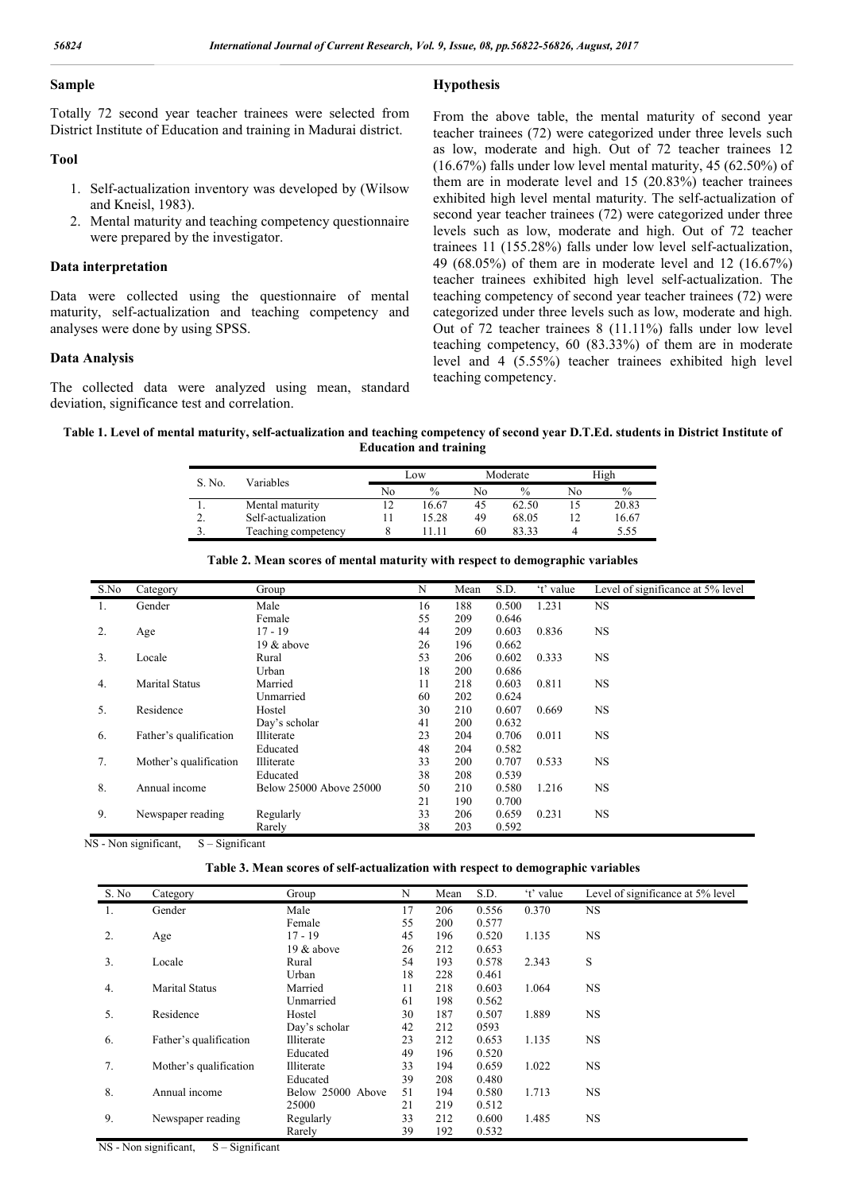**Hypothesis**

## **Sample**

Totally 72 second year teacher trainees were selected from District Institute of Education and training in Madurai district.

## **Tool**

- 1. Self-actualization inventory was developed by (Wilsow and Kneisl, 1983).
- 2. Mental maturity and teaching competency questionnaire were prepared by the investigator.

### **Data interpretation**

Data were collected using the questionnaire of mental maturity, self-actualization and teaching competency and analyses were done by using SPSS.

## **Data Analysis**

The collected data were analyzed using mean, standard deviation, significance test and correlation.

From the above table, the mental maturity of second year teacher trainees (72) were categorized under three levels such as low, moderate and high. Out of 72 teacher trainees 12 (16.67%) falls under low level mental maturity, 45 (62.50%) of them are in moderate level and 15 (20.83%) teacher trainees exhibited high level mental maturity. The self-actualization of second year teacher trainees (72) were categorized under three levels such as low, moderate and high. Out of 72 teacher trainees 11 (155.28%) falls under low level self-actualization, 49 (68.05%) of them are in moderate level and 12 (16.67%) teacher trainees exhibited high level self-actualization. The teaching competency of second year teacher trainees (72) were categorized under three levels such as low, moderate and high. Out of 72 teacher trainees 8 (11.11%) falls under low level teaching competency, 60 (83.33%) of them are in moderate level and 4 (5.55%) teacher trainees exhibited high level teaching competency.

**Table 1. Level of mental maturity, self-actualization and teaching competency of second year D.T.Ed. students in District Institute of Education and training**

|        |                     |    | Low           |    | Moderate      | High |       |
|--------|---------------------|----|---------------|----|---------------|------|-------|
| S. No. | Variables           | No | $\frac{0}{0}$ | No | $\frac{0}{0}$ | No   | $\%$  |
|        | Mental maturity     | っ  | 16.67         | 45 | 62.50         |      | 20.83 |
|        | Self-actualization  |    | 15.28         | 49 | 68.05         |      | 16.67 |
|        | Teaching competency |    |               | 60 | 83 33         |      | 5.55  |

| S.No | Category               | Group                   | N  | Mean | S.D.  | 't' value | Level of significance at 5% level |
|------|------------------------|-------------------------|----|------|-------|-----------|-----------------------------------|
| 1.   | Gender                 | Male                    | 16 | 188  | 0.500 | 1.231     | <b>NS</b>                         |
|      |                        | Female                  | 55 | 209  | 0.646 |           |                                   |
| 2.   | Age                    | $17 - 19$               | 44 | 209  | 0.603 | 0.836     | <b>NS</b>                         |
|      |                        | 19 $&$ above            | 26 | 196  | 0.662 |           |                                   |
| 3.   | Locale                 | Rural                   | 53 | 206  | 0.602 | 0.333     | <b>NS</b>                         |
|      |                        | Urban                   | 18 | 200  | 0.686 |           |                                   |
| 4.   | <b>Marital Status</b>  | Married                 | 11 | 218  | 0.603 | 0.811     | <b>NS</b>                         |
|      |                        | Unmarried               | 60 | 202  | 0.624 |           |                                   |
| 5.   | Residence              | Hostel                  | 30 | 210  | 0.607 | 0.669     | <b>NS</b>                         |
|      |                        | Day's scholar           | 41 | 200  | 0.632 |           |                                   |
| 6.   | Father's qualification | Illiterate              | 23 | 204  | 0.706 | 0.011     | <b>NS</b>                         |
|      |                        | Educated                | 48 | 204  | 0.582 |           |                                   |
| 7.   | Mother's qualification | Illiterate              | 33 | 200  | 0.707 | 0.533     | <b>NS</b>                         |
|      |                        | Educated                | 38 | 208  | 0.539 |           |                                   |
| 8.   | Annual income          | Below 25000 Above 25000 | 50 | 210  | 0.580 | 1.216     | <b>NS</b>                         |
|      |                        |                         | 21 | 190  | 0.700 |           |                                   |
| 9.   | Newspaper reading      | Regularly               | 33 | 206  | 0.659 | 0.231     | NS.                               |
|      |                        | Rarely                  | 38 | 203  | 0.592 |           |                                   |

#### **Table 2. Mean scores of mental maturity with respect to demographic variables**

 $NS$  - Non significant,  $S -$  Significant

|  |  | Table 3. Mean scores of self-actualization with respect to demographic variables |  |  |  |
|--|--|----------------------------------------------------------------------------------|--|--|--|
|  |  |                                                                                  |  |  |  |

| S. No | Category               | Group             | N  | Mean | S.D.  | 't' value | Level of significance at 5% level |
|-------|------------------------|-------------------|----|------|-------|-----------|-----------------------------------|
| 1.    | Gender                 | Male              | 17 | 206  | 0.556 | 0.370     | <b>NS</b>                         |
|       |                        | Female            | 55 | 200  | 0.577 |           |                                   |
| 2.    | Age                    | $17 - 19$         | 45 | 196  | 0.520 | 1.135     | <b>NS</b>                         |
|       |                        | 19 & above        | 26 | 212  | 0.653 |           |                                   |
| 3.    | Locale                 | Rural             | 54 | 193  | 0.578 | 2.343     | S                                 |
|       |                        | Urban             | 18 | 228  | 0.461 |           |                                   |
| 4.    | <b>Marital Status</b>  | Married           | 11 | 218  | 0.603 | 1.064     | <b>NS</b>                         |
|       |                        | Unmarried         | 61 | 198  | 0.562 |           |                                   |
| 5.    | Residence              | Hostel            | 30 | 187  | 0.507 | 1.889     | <b>NS</b>                         |
|       |                        | Day's scholar     | 42 | 212  | 0593  |           |                                   |
| 6.    | Father's qualification | Illiterate        | 23 | 212  | 0.653 | 1.135     | <b>NS</b>                         |
|       |                        | Educated          | 49 | 196  | 0.520 |           |                                   |
| 7.    | Mother's qualification | Illiterate        | 33 | 194  | 0.659 | 1.022     | <b>NS</b>                         |
|       |                        | Educated          | 39 | 208  | 0.480 |           |                                   |
| 8.    | Annual income          | Below 25000 Above | 51 | 194  | 0.580 | 1.713     | <b>NS</b>                         |
|       |                        | 25000             | 21 | 219  | 0.512 |           |                                   |
| 9.    | Newspaper reading      | Regularly         | 33 | 212  | 0.600 | 1.485     | <b>NS</b>                         |
|       |                        | Rarely            | 39 | 192  | 0.532 |           |                                   |

 $NS - Non significant,$   $S - Significant$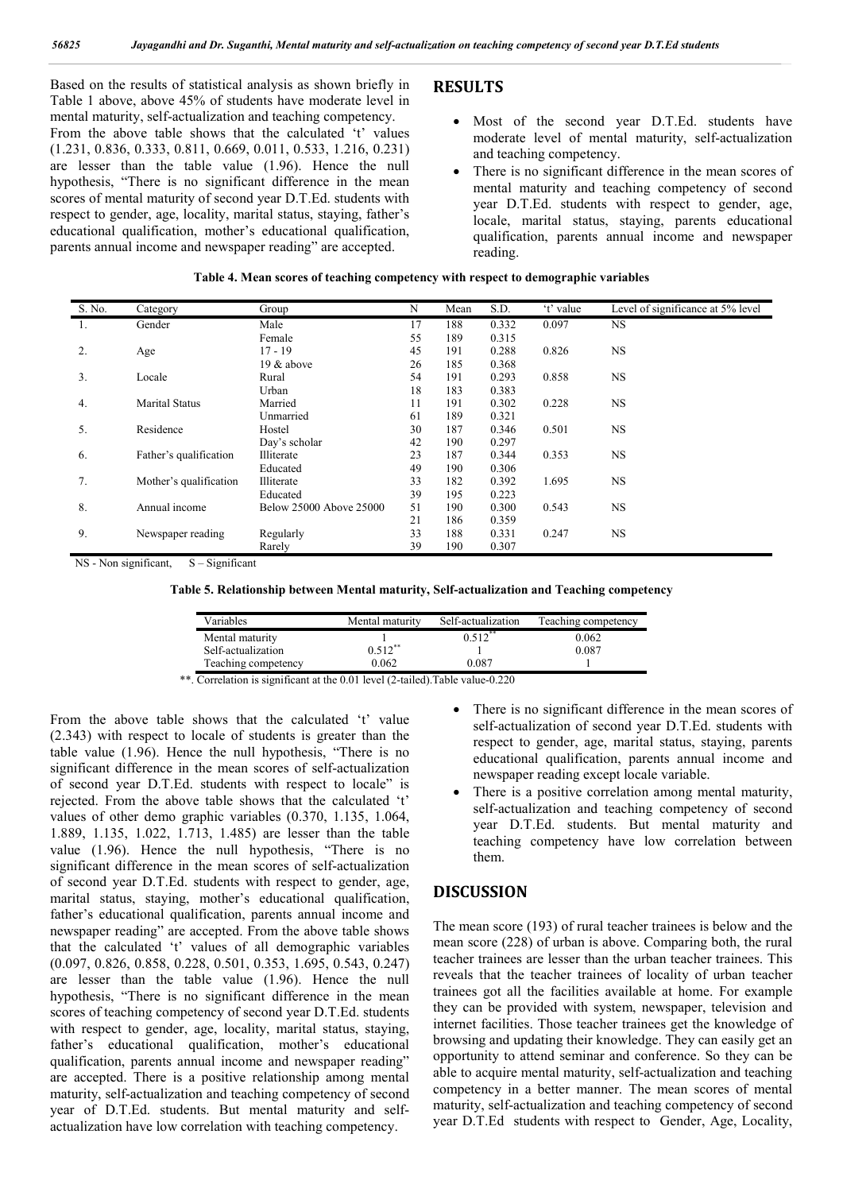Based on the results of statistical analysis as shown briefly in Table 1 above, above 45% of students have moderate level in mental maturity, self-actualization and teaching competency. From the above table shows that the calculated 't' values (1.231, 0.836, 0.333, 0.811, 0.669, 0.011, 0.533, 1.216, 0.231) are lesser than the table value (1.96). Hence the null hypothesis, "There is no significant difference in the mean scores of mental maturity of second year D.T.Ed. students with respect to gender, age, locality, marital status, staying, father's educational qualification, mother's educational qualification, parents annual income and newspaper reading" are accepted.

## **RESULTS**

- Most of the second year D.T.Ed. students have moderate level of mental maturity, self-actualization and teaching competency.
- There is no significant difference in the mean scores of mental maturity and teaching competency of second year D.T.Ed. students with respect to gender, age, locale, marital status, staying, parents educational qualification, parents annual income and newspaper reading.

| S. No. | Category               | Group                   | N  | Mean | S.D.  | 't' value | Level of significance at 5% level |
|--------|------------------------|-------------------------|----|------|-------|-----------|-----------------------------------|
| 1.     | Gender                 | Male                    | 17 | 188  | 0.332 | 0.097     | NS.                               |
|        |                        | Female                  | 55 | 189  | 0.315 |           |                                   |
| 2.     | Age                    | $17 - 19$               | 45 | 191  | 0.288 | 0.826     | <b>NS</b>                         |
|        |                        | 19 & above              | 26 | 185  | 0.368 |           |                                   |
| 3.     | Locale                 | Rural                   | 54 | 191  | 0.293 | 0.858     | <b>NS</b>                         |
|        |                        | Urban                   | 18 | 183  | 0.383 |           |                                   |
| 4.     | <b>Marital Status</b>  | Married                 | 11 | 191  | 0.302 | 0.228     | <b>NS</b>                         |
|        |                        | Unmarried               | 61 | 189  | 0.321 |           |                                   |
| 5.     | Residence              | Hostel                  | 30 | 187  | 0.346 | 0.501     | <b>NS</b>                         |
|        |                        | Day's scholar           | 42 | 190  | 0.297 |           |                                   |
| 6.     | Father's qualification | Illiterate              | 23 | 187  | 0.344 | 0.353     | <b>NS</b>                         |
|        |                        | Educated                | 49 | 190  | 0.306 |           |                                   |
| 7.     | Mother's qualification | Illiterate              | 33 | 182  | 0.392 | 1.695     | <b>NS</b>                         |
|        |                        | Educated                | 39 | 195  | 0.223 |           |                                   |
| 8.     | Annual income          | Below 25000 Above 25000 | 51 | 190  | 0.300 | 0.543     | <b>NS</b>                         |
|        |                        |                         | 21 | 186  | 0.359 |           |                                   |
| 9.     | Newspaper reading      | Regularly               | 33 | 188  | 0.331 | 0.247     | <b>NS</b>                         |
|        |                        | Rarely                  | 39 | 190  | 0.307 |           |                                   |

## **Table 4. Mean scores of teaching competency with respect to demographic variables**

NS - Non significant, S – Significant

**Table 5. Relationship between Mental maturity, Self-actualization and Teaching competency**

| Variables           | Mental maturity | Self-actualization | Teaching competency |
|---------------------|-----------------|--------------------|---------------------|
| Mental maturity     |                 | $0.512$ **         | 0.062               |
| Self-actualization  | $0.512**$       |                    | 0.087               |
| Teaching competency | 0.062           | $_{0.087}$         |                     |

\*\*. Correlation is significant at the 0.01 level (2-tailed). Table value-0.220

From the above table shows that the calculated 't' value (2.343) with respect to locale of students is greater than the table value (1.96). Hence the null hypothesis, "There is no significant difference in the mean scores of self-actualization of second year D.T.Ed. students with respect to locale" is rejected. From the above table shows that the calculated 't' values of other demo graphic variables (0.370, 1.135, 1.064, 1.889, 1.135, 1.022, 1.713, 1.485) are lesser than the table value (1.96). Hence the null hypothesis, "There is no significant difference in the mean scores of self-actualization of second year D.T.Ed. students with respect to gender, age, marital status, staying, mother's educational qualification, father's educational qualification, parents annual income and newspaper reading" are accepted. From the above table shows that the calculated 't' values of all demographic variables (0.097, 0.826, 0.858, 0.228, 0.501, 0.353, 1.695, 0.543, 0.247) are lesser than the table value (1.96). Hence the null hypothesis, "There is no significant difference in the mean scores of teaching competency of second year D.T.Ed. students with respect to gender, age, locality, marital status, staying, father's educational qualification, mother's educational qualification, parents annual income and newspaper reading" are accepted. There is a positive relationship among mental maturity, self-actualization and teaching competency of second year of D.T.Ed. students. But mental maturity and selfactualization have low correlation with teaching competency.

- There is no significant difference in the mean scores of self-actualization of second year D.T.Ed. students with respect to gender, age, marital status, staying, parents educational qualification, parents annual income and newspaper reading except locale variable.
- There is a positive correlation among mental maturity, self-actualization and teaching competency of second year D.T.Ed. students. But mental maturity and teaching competency have low correlation between them.

## **DISCUSSION**

The mean score (193) of rural teacher trainees is below and the mean score (228) of urban is above. Comparing both, the rural teacher trainees are lesser than the urban teacher trainees. This reveals that the teacher trainees of locality of urban teacher trainees got all the facilities available at home. For example they can be provided with system, newspaper, television and internet facilities. Those teacher trainees get the knowledge of browsing and updating their knowledge. They can easily get an opportunity to attend seminar and conference. So they can be able to acquire mental maturity, self-actualization and teaching competency in a better manner. The mean scores of mental maturity, self-actualization and teaching competency of second year D.T.Ed students with respect to Gender, Age, Locality,